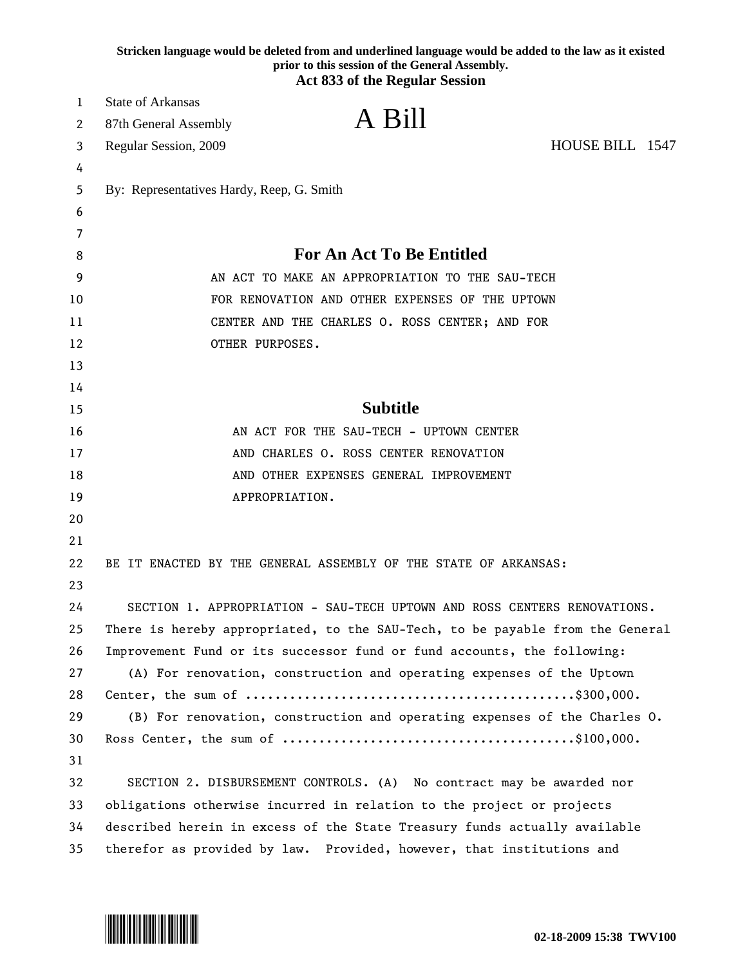|    | Stricken language would be deleted from and underlined language would be added to the law as it existed<br>prior to this session of the General Assembly.<br><b>Act 833 of the Regular Session</b> |
|----|----------------------------------------------------------------------------------------------------------------------------------------------------------------------------------------------------|
| 1  | <b>State of Arkansas</b>                                                                                                                                                                           |
| 2  | A Bill<br>87th General Assembly                                                                                                                                                                    |
| 3  | HOUSE BILL 1547<br>Regular Session, 2009                                                                                                                                                           |
| 4  |                                                                                                                                                                                                    |
| 5  | By: Representatives Hardy, Reep, G. Smith                                                                                                                                                          |
| 6  |                                                                                                                                                                                                    |
| 7  |                                                                                                                                                                                                    |
| 8  | <b>For An Act To Be Entitled</b>                                                                                                                                                                   |
| 9  | AN ACT TO MAKE AN APPROPRIATION TO THE SAU-TECH                                                                                                                                                    |
| 10 | FOR RENOVATION AND OTHER EXPENSES OF THE UPTOWN                                                                                                                                                    |
| 11 | CENTER AND THE CHARLES O. ROSS CENTER; AND FOR                                                                                                                                                     |
| 12 | OTHER PURPOSES.                                                                                                                                                                                    |
| 13 |                                                                                                                                                                                                    |
| 14 |                                                                                                                                                                                                    |
| 15 | <b>Subtitle</b>                                                                                                                                                                                    |
| 16 | AN ACT FOR THE SAU-TECH - UPTOWN CENTER                                                                                                                                                            |
| 17 | AND CHARLES O. ROSS CENTER RENOVATION                                                                                                                                                              |
| 18 | AND OTHER EXPENSES GENERAL IMPROVEMENT                                                                                                                                                             |
| 19 | APPROPRIATION.                                                                                                                                                                                     |
| 20 |                                                                                                                                                                                                    |
| 21 |                                                                                                                                                                                                    |
| 22 | BE IT ENACTED BY THE GENERAL ASSEMBLY OF THE STATE OF ARKANSAS:                                                                                                                                    |
| 23 |                                                                                                                                                                                                    |
| 24 | SECTION 1. APPROPRIATION - SAU-TECH UPTOWN AND ROSS CENTERS RENOVATIONS.                                                                                                                           |
| 25 | There is hereby appropriated, to the SAU-Tech, to be payable from the General                                                                                                                      |
| 26 | Improvement Fund or its successor fund or fund accounts, the following:                                                                                                                            |
| 27 | (A) For renovation, construction and operating expenses of the Uptown                                                                                                                              |
| 28 |                                                                                                                                                                                                    |
| 29 | (B) For renovation, construction and operating expenses of the Charles 0.                                                                                                                          |
| 30 |                                                                                                                                                                                                    |
| 31 |                                                                                                                                                                                                    |
| 32 | SECTION 2. DISBURSEMENT CONTROLS. (A) No contract may be awarded nor                                                                                                                               |
| 33 | obligations otherwise incurred in relation to the project or projects                                                                                                                              |
| 34 | described herein in excess of the State Treasury funds actually available                                                                                                                          |
| 35 | therefor as provided by law. Provided, however, that institutions and                                                                                                                              |